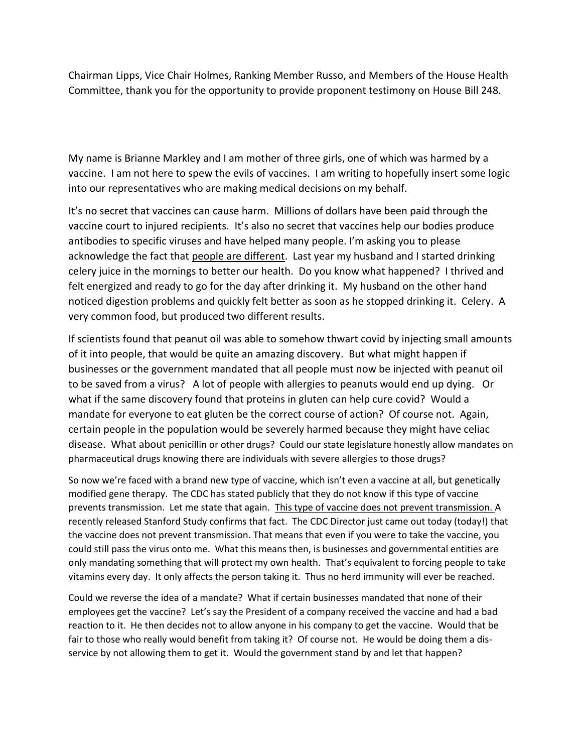Chairman Lipps, Vice Chair Holmes, Ranking Member Russo, and Members of the House Health Committee, thank you for the opportunity to provide proponent testimony on House Bill 248.

My name is Brianne Markley and I am mother of three girls, one of which was harmed by a vaccine. I am not here to spew the evils of vaccines. I am writing to hopefully insert some logic into our representatives who are making medical decisions on my behalf.

It's no secret that vaccines can cause harm. Millions of dollars have been paid through the vaccine court to injured recipients. It's also no secret that vaccines help our bodies produce antibodies to specific viruses and have helped many people. I'm asking you to please acknowledge the fact that people are different. Last year my husband and I started drinking celery juice in the mornings to better our health. Do you know what happened? I thrived and felt energized and ready to go for the day after drinking it. My husband on the other hand noticed digestion problems and quickly felt better as soon as he stopped drinking it. Celery. A very common food, but produced two different results.

If scientists found that peanut oil was able to somehow thwart covid by injecting small amounts of it into people, that would be quite an amazing discovery. But what might happen if businesses or the government mandated that all people must now be injected with peanut oil to be saved from a virus? A lot of people with allergies to peanuts would end up dying. Or what if the same discovery found that proteins in gluten can help cure covid? Would a mandate for everyone to eat gluten be the correct course of action? Of course not. Again, certain people in the population would be severely harmed because they might have celiac disease. What about penicillin or other drugs? Could our state legislature honestly allow mandates on pharmaceutical drugs knowing there are individuals with severe allergies to those drugs?

So now we're faced with a brand new type of vaccine, which isn't even a vaccine at all, but genetically modified gene therapy. The CDC has stated publicly that they do not know if this type of vaccine prevents transmission. Let me state that again. This type of vaccine does not prevent transmission. A recently released Stanford Study confirms that fact. The CDC Director just came out today (today!) that the vaccine does not prevent transmission. That means that even if you were to take the vaccine, you could still pass the virus onto me. What this means then, is businesses and governmental entities are only mandating something that will protect my own health. That's equivalent to forcing people to take vitamins every day. It only affects the person taking it. Thus no herd immunity will ever be reached.

Could we reverse the idea of a mandate? What if certain businesses mandated that none of their employees get the vaccine? Let's say the President of a company received the vaccine and had a bad reaction to it. He then decides not to allow anyone in his company to get the vaccine. Would that be fair to those who really would benefit from taking it? Of course not. He would be doing them a disservice by not allowing them to get it. Would the government stand by and let that happen?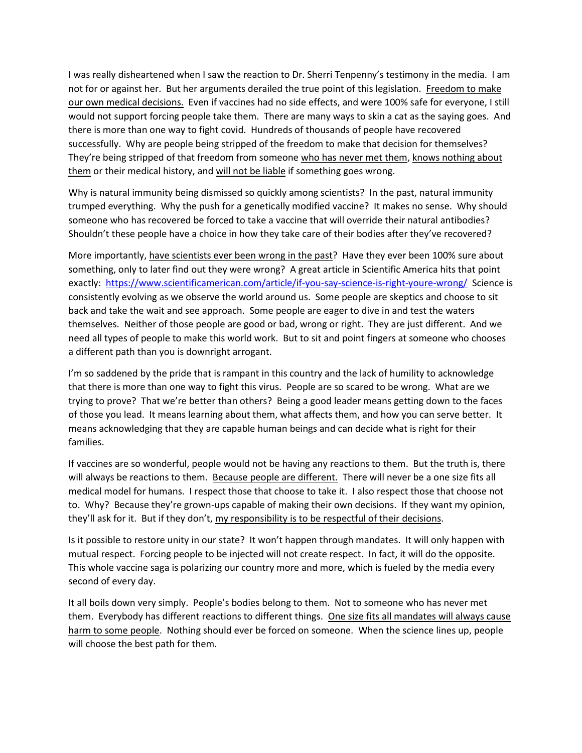I was really disheartened when I saw the reaction to Dr. Sherri Tenpenny's testimony in the media. I am not for or against her. But her arguments derailed the true point of this legislation. Freedom to make our own medical decisions. Even if vaccines had no side effects, and were 100% safe for everyone, I still would not support forcing people take them. There are many ways to skin a cat as the saying goes. And there is more than one way to fight covid. Hundreds of thousands of people have recovered successfully. Why are people being stripped of the freedom to make that decision for themselves? They're being stripped of that freedom from someone who has never met them, knows nothing about them or their medical history, and will not be liable if something goes wrong.

Why is natural immunity being dismissed so quickly among scientists? In the past, natural immunity trumped everything. Why the push for a genetically modified vaccine? It makes no sense. Why should someone who has recovered be forced to take a vaccine that will override their natural antibodies? Shouldn't these people have a choice in how they take care of their bodies after they've recovered?

More importantly, have scientists ever been wrong in the past? Have they ever been 100% sure about something, only to later find out they were wrong? A great article in Scientific America hits that point exactly: <https://www.scientificamerican.com/article/if-you-say-science-is-right-youre-wrong/>Science is consistently evolving as we observe the world around us. Some people are skeptics and choose to sit back and take the wait and see approach. Some people are eager to dive in and test the waters themselves. Neither of those people are good or bad, wrong or right. They are just different. And we need all types of people to make this world work. But to sit and point fingers at someone who chooses a different path than you is downright arrogant.

I'm so saddened by the pride that is rampant in this country and the lack of humility to acknowledge that there is more than one way to fight this virus. People are so scared to be wrong. What are we trying to prove? That we're better than others? Being a good leader means getting down to the faces of those you lead. It means learning about them, what affects them, and how you can serve better. It means acknowledging that they are capable human beings and can decide what is right for their families.

If vaccines are so wonderful, people would not be having any reactions to them. But the truth is, there will always be reactions to them. Because people are different. There will never be a one size fits all medical model for humans. I respect those that choose to take it. I also respect those that choose not to. Why? Because they're grown-ups capable of making their own decisions. If they want my opinion, they'll ask for it. But if they don't, my responsibility is to be respectful of their decisions.

Is it possible to restore unity in our state? It won't happen through mandates. It will only happen with mutual respect. Forcing people to be injected will not create respect. In fact, it will do the opposite. This whole vaccine saga is polarizing our country more and more, which is fueled by the media every second of every day.

It all boils down very simply. People's bodies belong to them. Not to someone who has never met them. Everybody has different reactions to different things. One size fits all mandates will always cause harm to some people. Nothing should ever be forced on someone. When the science lines up, people will choose the best path for them.